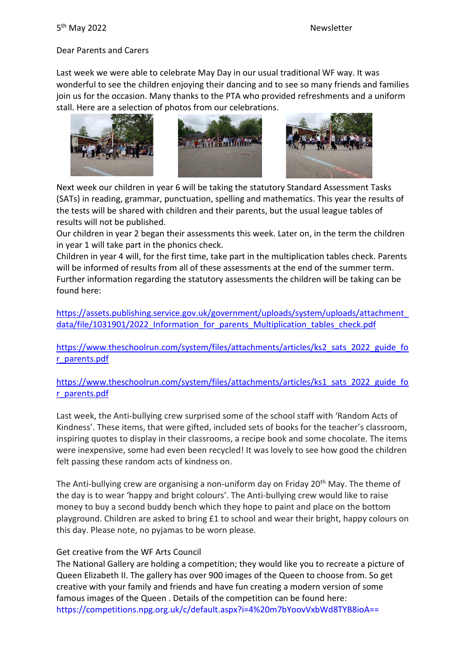# Dear Parents and Carers

Last week we were able to celebrate May Day in our usual traditional WF way. It was wonderful to see the children enjoying their dancing and to see so many friends and families join us for the occasion. Many thanks to the PTA who provided refreshments and a uniform stall. Here are a selection of photos from our celebrations.



Next week our children in year 6 will be taking the statutory Standard Assessment Tasks (SATs) in reading, grammar, punctuation, spelling and mathematics. This year the results of the tests will be shared with children and their parents, but the usual league tables of results will not be published.

Our children in year 2 began their assessments this week. Later on, in the term the children in year 1 will take part in the phonics check.

Children in year 4 will, for the first time, take part in the multiplication tables check. Parents will be informed of results from all of these assessments at the end of the summer term. Further information regarding the statutory assessments the children will be taking can be found here:

[https://assets.publishing.service.gov.uk/government/uploads/system/uploads/attachment\\_](https://assets.publishing.service.gov.uk/government/uploads/system/uploads/attachment_data/file/1031901/2022_Information_for_parents_Multiplication_tables_check.pdf) data/file/1031901/2022 Information for parents Multiplication tables check.pdf

[https://www.theschoolrun.com/system/files/attachments/articles/ks2\\_sats\\_2022\\_guide\\_fo](https://www.theschoolrun.com/system/files/attachments/articles/ks2_sats_2022_guide_for_parents.pdf) [r\\_parents.pdf](https://www.theschoolrun.com/system/files/attachments/articles/ks2_sats_2022_guide_for_parents.pdf)

[https://www.theschoolrun.com/system/files/attachments/articles/ks1\\_sats\\_2022\\_guide\\_fo](https://www.theschoolrun.com/system/files/attachments/articles/ks1_sats_2022_guide_for_parents.pdf) [r\\_parents.pdf](https://www.theschoolrun.com/system/files/attachments/articles/ks1_sats_2022_guide_for_parents.pdf)

Last week, the Anti-bullying crew surprised some of the school staff with 'Random Acts of Kindness'. These items, that were gifted, included sets of books for the teacher's classroom, inspiring quotes to display in their classrooms, a recipe book and some chocolate. The items were inexpensive, some had even been recycled! It was lovely to see how good the children felt passing these random acts of kindness on.

The Anti-bullying crew are organising a non-uniform day on Friday  $20<sup>th</sup>$  May. The theme of the day is to wear 'happy and bright colours'. The Anti-bullying crew would like to raise money to buy a second buddy bench which they hope to paint and place on the bottom playground. Children are asked to bring £1 to school and wear their bright, happy colours on this day. Please note, no pyjamas to be worn please.

# Get creative from the WF Arts Council

The National Gallery are holding a competition; they would like you to recreate a picture of Queen Elizabeth II. The gallery has over 900 images of the Queen to choose from. So get creative with your family and friends and have fun creating a modern version of some famous images of the Queen . Details of the competition can be found here: https://competitions.npg.org.uk/c/default.aspx?i=4%20m7bYoovVxbWd8TYB8ioA==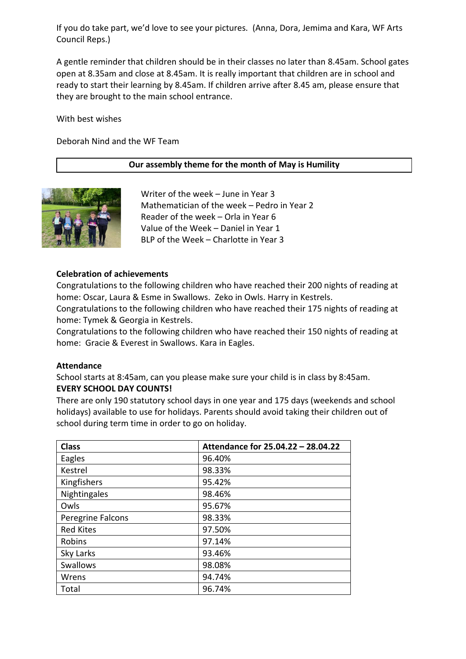If you do take part, we'd love to see your pictures. (Anna, Dora, Jemima and Kara, WF Arts Council Reps.)

A gentle reminder that children should be in their classes no later than 8.45am. School gates open at 8.35am and close at 8.45am. It is really important that children are in school and ready to start their learning by 8.45am. If children arrive after 8.45 am, please ensure that they are brought to the main school entrance.

With best wishes

Deborah Nind and the WF Team

#### **Our assembly theme for the month of May is Humility**



Writer of the week – June in Year 3 Mathematician of the week – Pedro in Year 2 Reader of the week – Orla in Year 6 Value of the Week – Daniel in Year 1 BLP of the Week – Charlotte in Year 3

#### **Celebration of achievements**

Congratulations to the following children who have reached their 200 nights of reading at home: Oscar, Laura & Esme in Swallows. Zeko in Owls. Harry in Kestrels.

Congratulations to the following children who have reached their 175 nights of reading at home: Tymek & Georgia in Kestrels.

Congratulations to the following children who have reached their 150 nights of reading at home: Gracie & Everest in Swallows. Kara in Eagles.

#### **Attendance**

School starts at 8:45am, can you please make sure your child is in class by 8:45am. **EVERY SCHOOL DAY COUNTS!**

There are only 190 statutory school days in one year and 175 days (weekends and school holidays) available to use for holidays. Parents should avoid taking their children out of school during term time in order to go on holiday.

| <b>Class</b>      | Attendance for 25.04.22 - 28.04.22 |
|-------------------|------------------------------------|
| Eagles            | 96.40%                             |
| Kestrel           | 98.33%                             |
| Kingfishers       | 95.42%                             |
| Nightingales      | 98.46%                             |
| Owls              | 95.67%                             |
| Peregrine Falcons | 98.33%                             |
| <b>Red Kites</b>  | 97.50%                             |
| Robins            | 97.14%                             |
| Sky Larks         | 93.46%                             |
| <b>Swallows</b>   | 98.08%                             |
| Wrens             | 94.74%                             |
| Total             | 96.74%                             |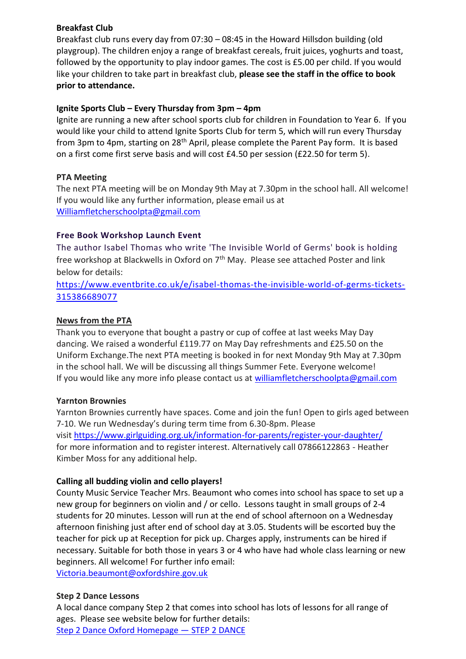## **Breakfast Club**

Breakfast club runs every day from 07:30 – 08:45 in the Howard Hillsdon building (old playgroup). The children enjoy a range of breakfast cereals, fruit juices, yoghurts and toast, followed by the opportunity to play indoor games. The cost is £5.00 per child. If you would like your children to take part in breakfast club, **please see the staff in the office to book prior to attendance.**

## **Ignite Sports Club – Every Thursday from 3pm – 4pm**

Ignite are running a new after school sports club for children in Foundation to Year 6. If you would like your child to attend Ignite Sports Club for term 5, which will run every Thursday from 3pm to 4pm, starting on 28<sup>th</sup> April, please complete the Parent Pay form. It is based on a first come first serve basis and will cost £4.50 per session (£22.50 for term 5).

## **PTA Meeting**

The next PTA meeting will be on Monday 9th May at 7.30pm in the school hall. All welcome! If you would like any further information, please email us at [Williamfletcherschoolpta@gmail.com](mailto:Williamfletcherschoolpta@gmail.com)

## **Free Book Workshop Launch Event**

The author Isabel Thomas who write 'The Invisible World of Germs' book is holding free workshop at Blackwells in Oxford on  $7<sup>th</sup>$  May. Please see attached Poster and link below for details:

[https://www.eventbrite.co.uk/e/isabel-thomas-the-invisible-world-of-germs-tickets-](https://www.eventbrite.co.uk/e/isabel-thomas-the-invisible-world-of-germs-tickets-315386689077)[315386689077](https://www.eventbrite.co.uk/e/isabel-thomas-the-invisible-world-of-germs-tickets-315386689077)

## **News from the PTA**

Thank you to everyone that bought a pastry or cup of coffee at last weeks May Day dancing. We raised a wonderful £119.77 on May Day refreshments and £25.50 on the Uniform Exchange.The next PTA meeting is booked in for next Monday 9th May at 7.30pm in the school hall. We will be discussing all things Summer Fete. Everyone welcome! If you would like any more info please contact us at [williamfletcherschoolpta@gmail.com](mailto:williamfletcherschoolpta@gmail.com)

#### **Yarnton Brownies**

Yarnton Brownies currently have spaces. Come and join the fun! Open to girls aged between 7-10. We run Wednesday's during term time from 6.30-8pm. Please visit <https://www.girlguiding.org.uk/information-for-parents/register-your-daughter/> for more information and to register interest. Alternatively call 07866122863 - Heather Kimber Moss for any additional help.

# **Calling all budding violin and cello players!**

County Music Service Teacher Mrs. Beaumont who comes into school has space to set up a new group for beginners on violin and / or cello. Lessons taught in small groups of 2-4 students for 20 minutes. Lesson will run at the end of school afternoon on a Wednesday afternoon finishing just after end of school day at 3.05. Students will be escorted buy the teacher for pick up at Reception for pick up. Charges apply, instruments can be hired if necessary. Suitable for both those in years 3 or 4 who have had whole class learning or new beginners. All welcome! For further info email:

[Victoria.beaumont@oxfordshire.gov.uk](mailto:Victoria.beaumont@oxfordshire.gov.uk)

#### **Step 2 Dance Lessons**

A local dance company Step 2 that comes into school has lots of lessons for all range of ages. Please see website below for further details: [Step 2 Dance Oxford Homepage](https://www.step2dance.co.uk/home) — STEP 2 DANCE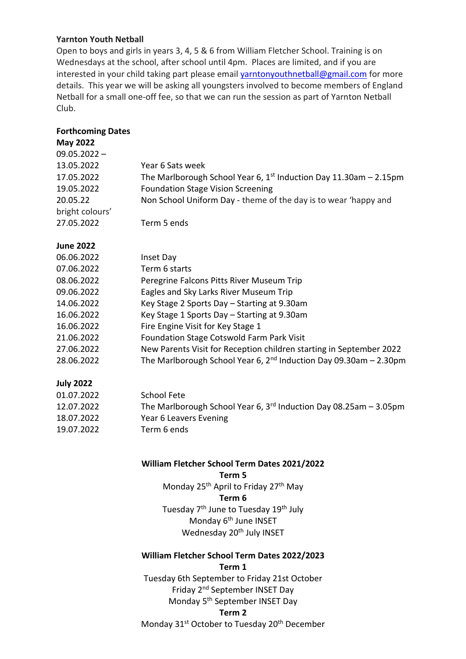#### **Yarnton Youth Netball**

Open to boys and girls in years 3, 4, 5 & 6 from William Fletcher School. Training is on Wednesdays at the school, after school until 4pm. Places are limited, and if you are interested in your child taking part please email [yarntonyouthnetball@gmail.com](mailto:yarntonyouthnetball@gmail.com) for more details. This year we will be asking all youngsters involved to become members of England Netball for a small one-off fee, so that we can run the session as part of Yarnton Netball Club.

#### **Forthcoming Dates**

# **May 2022**  $09.05.2022 -$ 13.05.2022 Year 6 Sats week 17.05.2022 The Marlborough School Year 6,  $1<sup>st</sup>$  Induction Day 11.30am – 2.15pm 19.05.2022 Foundation Stage Vision Screening 20.05.22 Non School Uniform Day - theme of the day is to wear 'happy and bright colours' 27.05.2022 Term 5 ends **June 2022** 06.06.2022 Inset Day 07.06.2022 Term 6 starts 08.06.2022 Peregrine Falcons Pitts River Museum Trip 09.06.2022 Eagles and Sky Larks River Museum Trip 14.06.2022 Key Stage 2 Sports Day – Starting at 9.30am 16.06.2022 Key Stage 1 Sports Day – Starting at 9.30am 16.06.2022 Fire Engine Visit for Key Stage 1 21.06.2022 Foundation Stage Cotswold Farm Park Visit 27.06.2022 New Parents Visit for Reception children starting in September 2022 28.06.2022 The Marlborough School Year 6, 2<sup>nd</sup> Induction Day 09.30am - 2.30pm

# **July 2022**

| 01.07.2022 | School Fete                                                         |
|------------|---------------------------------------------------------------------|
| 12.07.2022 | The Marlborough School Year 6, $3rd$ Induction Day 08.25am - 3.05pm |
| 18.07.2022 | Year 6 Leavers Evening                                              |
| 19.07.2022 | Term 6 ends                                                         |

#### **William Fletcher School Term Dates 2021/2022**

**Term 5** Monday 25<sup>th</sup> April to Friday 27<sup>th</sup> May **Term 6** Tuesday 7<sup>th</sup> June to Tuesday 19<sup>th</sup> July Monday 6<sup>th</sup> June INSET Wednesday 20<sup>th</sup> July INSET

# **William Fletcher School Term Dates 2022/2023 Term 1**

Tuesday 6th September to Friday 21st October Friday 2nd September INSET Day Monday 5<sup>th</sup> September INSET Day

#### **Term 2**

Monday 31<sup>st</sup> October to Tuesday 20<sup>th</sup> December